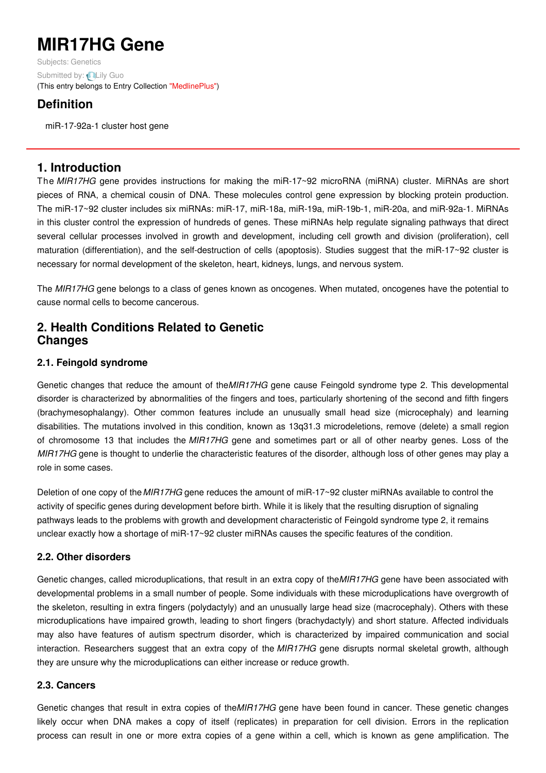# **MIR17HG Gene**

Subjects: [Genetics](https://encyclopedia.pub/item/subject/56) Submitted by: **QLily [Guo](https://sciprofiles.com/profile/1177833)** (This entry belongs to Entry Collection ["MedlinePlus"](https://encyclopedia.pub/entry/collection/24))

## **Definition**

miR-17-92a-1 cluster host gene

## **1. Introduction**

The *MIR17HG* gene provides instructions for making the miR-17~92 microRNA (miRNA) cluster. MiRNAs are short pieces of RNA, a chemical cousin of DNA. These molecules control gene expression by blocking protein production. The miR-17~92 cluster includes six miRNAs: miR-17, miR-18a, miR-19a, miR-19b-1, miR-20a, and miR-92a-1. MiRNAs in this cluster control the expression of hundreds of genes. These miRNAs help regulate signaling pathways that direct several cellular processes involved in growth and development, including cell growth and division (proliferation), cell maturation (differentiation), and the self-destruction of cells (apoptosis). Studies suggest that the miR-17~92 cluster is necessary for normal development of the skeleton, heart, kidneys, lungs, and nervous system.

The *MIR17HG* gene belongs to a class of genes known as oncogenes. When mutated, oncogenes have the potential to cause normal cells to become cancerous.

## **2. Health Conditions Related to Genetic Changes**

### **2.1. Feingold syndrome**

Genetic changes that reduce the amount of the*MIR17HG* gene cause Feingold syndrome type 2. This developmental disorder is characterized by abnormalities of the fingers and toes, particularly shortening of the second and fifth fingers (brachymesophalangy). Other common features include an unusually small head size (microcephaly) and learning disabilities. The mutations involved in this condition, known as 13q31.3 microdeletions, remove (delete) a small region of chromosome 13 that includes the *MIR17HG* gene and sometimes part or all of other nearby genes. Loss of the *MIR17HG* gene is thought to underlie the characteristic features of the disorder, although loss of other genes may play a role in some cases.

Deletion of one copy of the*MIR17HG* gene reduces the amount of miR-17~92 cluster miRNAs available to control the activity of specific genes during development before birth. While it is likely that the resulting disruption of signaling pathways leads to the problems with growth and development characteristic of Feingold syndrome type 2, it remains unclear exactly how a shortage of miR-17~92 cluster miRNAs causes the specific features of the condition.

### **2.2. Other disorders**

Genetic changes, called microduplications, that result in an extra copy of the*MIR17HG* gene have been associated with developmental problems in a small number of people. Some individuals with these microduplications have overgrowth of the skeleton, resulting in extra fingers (polydactyly) and an unusually large head size (macrocephaly). Others with these microduplications have impaired growth, leading to short fingers (brachydactyly) and short stature. Affected individuals may also have features of autism spectrum disorder, which is characterized by impaired communication and social interaction. Researchers suggest that an extra copy of the *MIR17HG* gene disrupts normal skeletal growth, although they are unsure why the microduplications can either increase or reduce growth.

#### **2.3. Cancers**

Genetic changes that result in extra copies of the*MIR17HG* gene have been found in cancer. These genetic changes likely occur when DNA makes a copy of itself (replicates) in preparation for cell division. Errors in the replication process can result in one or more extra copies of a gene within a cell, which is known as gene amplification. The